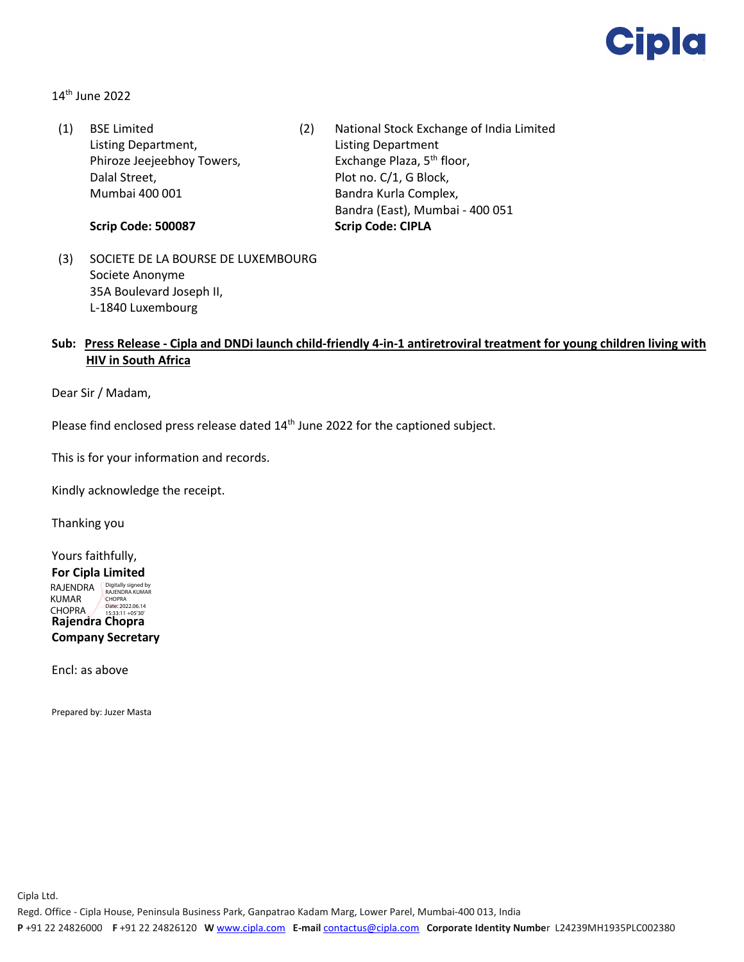

14th June 2022

(1) BSE Limited Listing Department, Phiroze Jeejeebhoy Towers, Dalal Street, Mumbai 400 001

**Scrip Code: 500087**

- (2) National Stock Exchange of India Limited Listing Department Exchange Plaza, 5<sup>th</sup> floor, Plot no. C/1, G Block, Bandra Kurla Complex, Bandra (East), Mumbai - 400 051 **Scrip Code: CIPLA**
- (3) SOCIETE DE LA BOURSE DE LUXEMBOURG Societe Anonyme 35A Boulevard Joseph II, L-1840 Luxembourg

## **Sub: Press Release - Cipla and DNDi launch child-friendly 4-in-1 antiretroviral treatment for young children living with HIV in South Africa**

Dear Sir / Madam,

Please find enclosed press release dated 14<sup>th</sup> June 2022 for the captioned subject.

This is for your information and records.

Kindly acknowledge the receipt.

Thanking you

Yours faithfully, **For Cipla Limited**

**Rajendra Chopra Company Secretary** RAJENDRA **Digitally signed by** RAJENDRA KUMAR CHOPRA CHOPRA Date: 2022.06.14 15:33:11 +05'30'

Encl: as above

Prepared by: Juzer Masta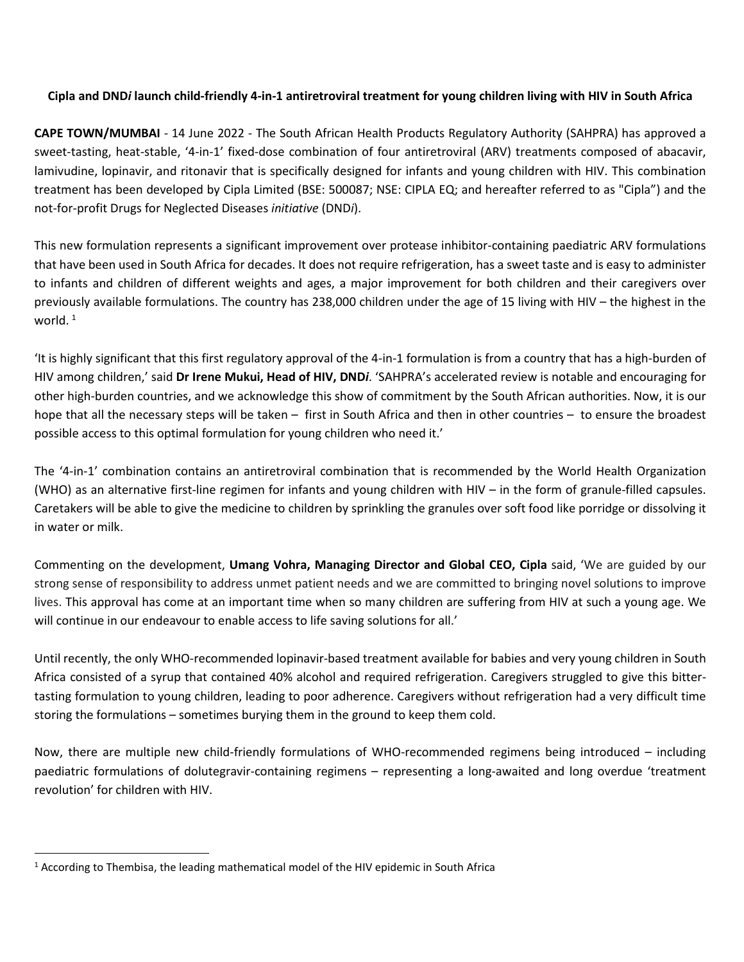# **Cipla and DND***i* **launch child-friendly 4-in-1 antiretroviral treatment for young children living with HIV in South Africa**

**CAPE TOWN/MUMBAI** - 14 June 2022 - The South African Health Products Regulatory Authority (SAHPRA) has approved a sweet-tasting, heat-stable, '4-in-1' fixed-dose combination of four antiretroviral (ARV) treatments composed of abacavir, lamivudine, lopinavir, and ritonavir that is specifically designed for infants and young children with HIV. This combination treatment has been developed by Cipla Limited (BSE: 500087; NSE: CIPLA EQ; and hereafter referred to as "Cipla") and the not-for-profit Drugs for Neglected Diseases *initiative* (DND*i*).

This new formulation represents a significant improvement over protease inhibitor-containing paediatric ARV formulations that have been used in South Africa for decades. It does not require refrigeration, has a sweet taste and is easy to administer to infants and children of different weights and ages, a major improvement for both children and their caregivers over previously available formulations. The country has 238,000 children under the age of 15 living with HIV – the highest in the world. $1$ 

'It is highly significant that this first regulatory approval of the 4-in-1 formulation is from a country that has a high-burden of HIV among children,' said **Dr Irene Mukui, Head of HIV, DND***i*. 'SAHPRA's accelerated review is notable and encouraging for other high-burden countries, and we acknowledge this show of commitment by the South African authorities. Now, it is our hope that all the necessary steps will be taken – first in South Africa and then in other countries – to ensure the broadest possible access to this optimal formulation for young children who need it.'

The '4-in-1' combination contains an antiretroviral combination that is recommended by the World Health Organization (WHO) as an alternative first-line regimen for infants and young children with HIV – in the form of granule-filled capsules. Caretakers will be able to give the medicine to children by sprinkling the granules over soft food like porridge or dissolving it in water or milk.

Commenting on the development, **Umang Vohra, Managing Director and Global CEO, Cipla** said, 'We are guided by our strong sense of responsibility to address unmet patient needs and we are committed to bringing novel solutions to improve lives. This approval has come at an important time when so many children are suffering from HIV at such a young age. We will continue in our endeavour to enable access to life saving solutions for all.'

Until recently, the only WHO-recommended lopinavir-based treatment available for babies and very young children in South Africa consisted of a syrup that contained 40% alcohol and required refrigeration. Caregivers struggled to give this bittertasting formulation to young children, leading to poor adherence. Caregivers without refrigeration had a very difficult time storing the formulations – sometimes burying them in the ground to keep them cold.

Now, there are multiple new child-friendly formulations of WHO-recommended regimens being introduced – including paediatric formulations of dolutegravir-containing regimens – representing a long-awaited and long overdue 'treatment revolution' for children with HIV.

<span id="page-1-0"></span> $1$  According to Thembisa, the leading mathematical model of the HIV epidemic in South Africa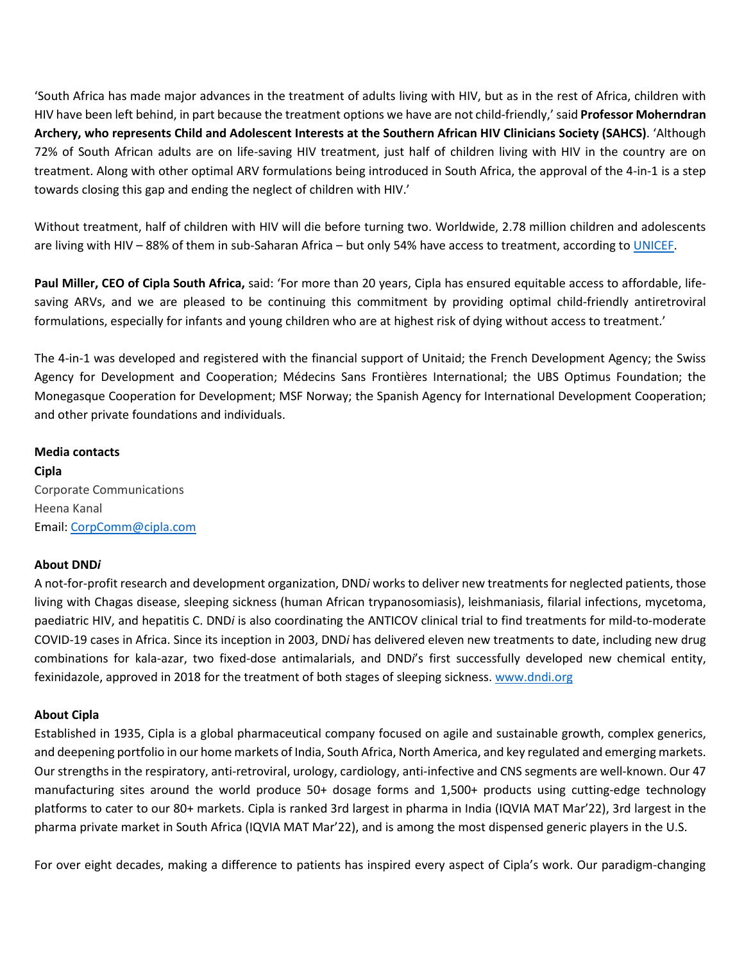'South Africa has made major advances in the treatment of adults living with HIV, but as in the rest of Africa, children with HIV have been left behind, in part because the treatment options we have are not child-friendly,' said **Professor Moherndran Archery, who represents Child and Adolescent Interests at the Southern African HIV Clinicians Society (SAHCS)**. 'Although 72% of South African adults are on life-saving HIV treatment, just half of children living with HIV in the country are on treatment. Along with other optimal ARV formulations being introduced in South Africa, the approval of the 4-in-1 is a step towards closing this gap and ending the neglect of children with HIV.'

Without treatment, half of children with HIV will die before turning two. Worldwide, 2.78 million children and adolescents are living with HIV – 88% of them in sub-Saharan Africa – but only 54% have access to treatment, according to [UNICEF.](https://www.unicef.org/hiv)

**Paul Miller, CEO of Cipla South Africa,** said: 'For more than 20 years, Cipla has ensured equitable access to affordable, lifesaving ARVs, and we are pleased to be continuing this commitment by providing optimal child-friendly antiretroviral formulations, especially for infants and young children who are at highest risk of dying without access to treatment.'

The 4-in-1 was developed and registered with the financial support of Unitaid; the French Development Agency; the Swiss Agency for Development and Cooperation; Médecins Sans Frontières International; the UBS Optimus Foundation; the Monegasque Cooperation for Development; MSF Norway; the Spanish Agency for International Development Cooperation; and other private foundations and individuals.

### **Media contacts**

**Cipla** Corporate Communications Heena Kanal Email: CorpComm@cipla.com

#### **About DND***i*

A not-for-profit research and development organization, DND*i* works to deliver new treatments for neglected patients, those living with Chagas disease, sleeping sickness (human African trypanosomiasis), leishmaniasis, filarial infections, mycetoma, paediatric HIV, and hepatitis C. DND*i* is also coordinating the ANTICOV clinical trial to find treatments for mild-to-moderate COVID-19 cases in Africa. Since its inception in 2003, DND*i* has delivered eleven new treatments to date, including new drug combinations for kala-azar, two fixed-dose antimalarials, and DND*i*'s first successfully developed new chemical entity, fexinidazole, approved in 2018 for the treatment of both stages of sleeping sickness. [www.dndi.org](http://www.dndi.org/)

# **About Cipla**

Established in 1935, Cipla is a global pharmaceutical company focused on agile and sustainable growth, complex generics, and deepening portfolio in our home markets of India, South Africa, North America, and key regulated and emerging markets. Our strengths in the respiratory, anti-retroviral, urology, cardiology, anti-infective and CNS segments are well-known. Our 47 manufacturing sites around the world produce 50+ dosage forms and 1,500+ products using cutting-edge technology platforms to cater to our 80+ markets. Cipla is ranked 3rd largest in pharma in India (IQVIA MAT Mar'22), 3rd largest in the pharma private market in South Africa (IQVIA MAT Mar'22), and is among the most dispensed generic players in the U.S.

For over eight decades, making a difference to patients has inspired every aspect of Cipla's work. Our paradigm-changing